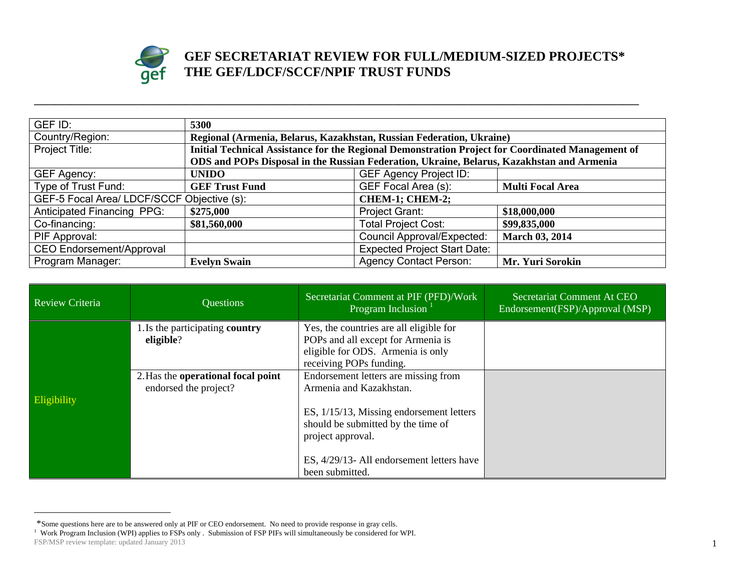

## **GEF SECRETARIAT REVIEW FOR FULL/MEDIUM-SIZED PROJECTS\* THE GEF/LDCF/SCCF/NPIF TRUST FUNDS**

| GEF ID:                                                       | 5300                                                                                              |                                     |                         |
|---------------------------------------------------------------|---------------------------------------------------------------------------------------------------|-------------------------------------|-------------------------|
| Country/Region:                                               | Regional (Armenia, Belarus, Kazakhstan, Russian Federation, Ukraine)                              |                                     |                         |
| Project Title:                                                | Initial Technical Assistance for the Regional Demonstration Project for Coordinated Management of |                                     |                         |
|                                                               | ODS and POPs Disposal in the Russian Federation, Ukraine, Belarus, Kazakhstan and Armenia         |                                     |                         |
| GEF Agency:                                                   | <b>UNIDO</b>                                                                                      | <b>GEF Agency Project ID:</b>       |                         |
| Type of Trust Fund:                                           | <b>GEF Trust Fund</b>                                                                             | GEF Focal Area (s):                 | <b>Multi Focal Area</b> |
| GEF-5 Focal Area/ LDCF/SCCF Objective (s):<br>CHEM-1; CHEM-2; |                                                                                                   |                                     |                         |
| Anticipated Financing PPG:                                    | \$275,000                                                                                         | <b>Project Grant:</b>               | \$18,000,000            |
| Co-financing:                                                 | \$81,560,000                                                                                      | <b>Total Project Cost:</b>          | \$99,835,000            |
| PIF Approval:                                                 |                                                                                                   | <b>Council Approval/Expected:</b>   | <b>March 03, 2014</b>   |
| CEO Endorsement/Approval                                      |                                                                                                   | <b>Expected Project Start Date:</b> |                         |
| Program Manager:                                              | <b>Evelyn Swain</b>                                                                               | <b>Agency Contact Person:</b>       | Mr. Yuri Sorokin        |

**\_\_\_\_\_\_\_\_\_\_\_\_\_\_\_\_\_\_\_\_\_\_\_\_\_\_\_\_\_\_\_\_\_\_\_\_\_\_\_\_\_\_\_\_\_\_\_\_\_\_\_\_\_\_\_\_\_\_\_\_\_\_\_\_\_\_\_\_\_\_\_\_\_\_\_\_\_\_\_\_\_\_\_\_\_\_\_\_\_\_\_\_\_\_\_\_\_\_\_\_\_\_\_\_\_\_\_\_\_\_\_\_\_\_\_\_** 

| Review Criteria | Questions                                                   | Secretariat Comment at PIF (PFD)/Work<br>Program Inclusion                                                                                                                                                                             | Secretariat Comment At CEO<br>Endorsement(FSP)/Approval (MSP) |
|-----------------|-------------------------------------------------------------|----------------------------------------------------------------------------------------------------------------------------------------------------------------------------------------------------------------------------------------|---------------------------------------------------------------|
|                 | 1. Is the participating country<br>eligible?                | Yes, the countries are all eligible for<br>POPs and all except for Armenia is<br>eligible for ODS. Armenia is only<br>receiving POPs funding.                                                                                          |                                                               |
| Eligibility     | 2. Has the operational focal point<br>endorsed the project? | Endorsement letters are missing from<br>Armenia and Kazakhstan.<br>ES, 1/15/13, Missing endorsement letters<br>should be submitted by the time of<br>project approval.<br>ES, 4/29/13- All endorsement letters have<br>been submitted. |                                                               |

FSP/MSP review template: updated January 2013 1 \*Some questions here are to be answered only at PIF or CEO endorsement. No need to provide response in gray cells.<br><sup>1</sup> Work Program Inclusion (WPI) applies to FSPs only . Submission of FSP PIFs will simultaneously be consi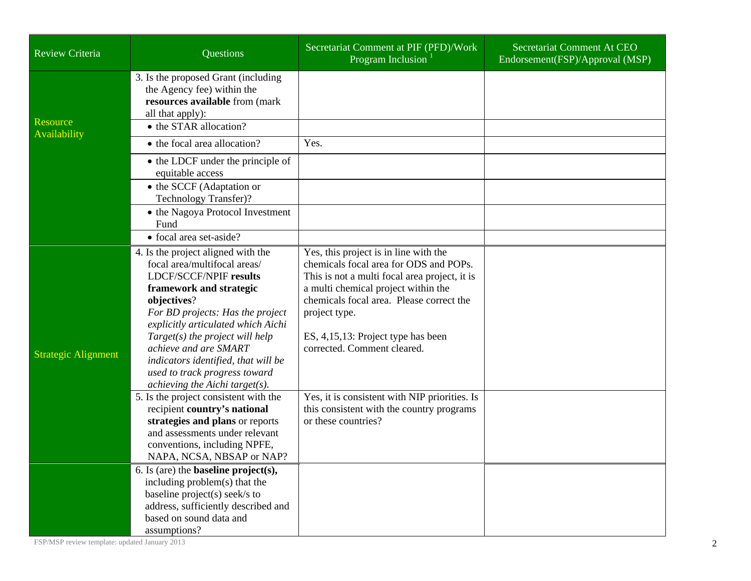| Review Criteria            | Questions                                                                                                                                                                                                                                                                                                                                                                                    | Secretariat Comment at PIF (PFD)/Work<br>Program Inclusion                                                                                                                                                                                                                                                | Secretariat Comment At CEO<br>Endorsement(FSP)/Approval (MSP) |
|----------------------------|----------------------------------------------------------------------------------------------------------------------------------------------------------------------------------------------------------------------------------------------------------------------------------------------------------------------------------------------------------------------------------------------|-----------------------------------------------------------------------------------------------------------------------------------------------------------------------------------------------------------------------------------------------------------------------------------------------------------|---------------------------------------------------------------|
| Resource                   | 3. Is the proposed Grant (including<br>the Agency fee) within the<br>resources available from (mark<br>all that apply):<br>• the STAR allocation?                                                                                                                                                                                                                                            |                                                                                                                                                                                                                                                                                                           |                                                               |
| Availability               | • the focal area allocation?                                                                                                                                                                                                                                                                                                                                                                 | Yes.                                                                                                                                                                                                                                                                                                      |                                                               |
|                            | • the LDCF under the principle of<br>equitable access                                                                                                                                                                                                                                                                                                                                        |                                                                                                                                                                                                                                                                                                           |                                                               |
|                            | • the SCCF (Adaptation or<br>Technology Transfer)?                                                                                                                                                                                                                                                                                                                                           |                                                                                                                                                                                                                                                                                                           |                                                               |
|                            | • the Nagoya Protocol Investment<br>Fund                                                                                                                                                                                                                                                                                                                                                     |                                                                                                                                                                                                                                                                                                           |                                                               |
|                            | • focal area set-aside?                                                                                                                                                                                                                                                                                                                                                                      |                                                                                                                                                                                                                                                                                                           |                                                               |
| <b>Strategic Alignment</b> | 4. Is the project aligned with the<br>focal area/multifocal areas/<br>LDCF/SCCF/NPIF results<br>framework and strategic<br>objectives?<br>For BD projects: Has the project<br>explicitly articulated which Aichi<br>$Target(s)$ the project will help<br>achieve and are SMART<br>indicators identified, that will be<br>used to track progress toward<br>achieving the Aichi target( $s$ ). | Yes, this project is in line with the<br>chemicals focal area for ODS and POPs.<br>This is not a multi focal area project, it is<br>a multi chemical project within the<br>chemicals focal area. Please correct the<br>project type.<br>ES, 4,15,13: Project type has been<br>corrected. Comment cleared. |                                                               |
|                            | 5. Is the project consistent with the<br>recipient country's national<br>strategies and plans or reports<br>and assessments under relevant<br>conventions, including NPFE,<br>NAPA, NCSA, NBSAP or NAP?                                                                                                                                                                                      | Yes, it is consistent with NIP priorities. Is<br>this consistent with the country programs<br>or these countries?                                                                                                                                                                                         |                                                               |
|                            | 6. Is (are) the <b>baseline</b> $project(s)$ ,<br>including problem(s) that the<br>baseline project(s) seek/s to<br>address, sufficiently described and<br>based on sound data and<br>assumptions?                                                                                                                                                                                           |                                                                                                                                                                                                                                                                                                           |                                                               |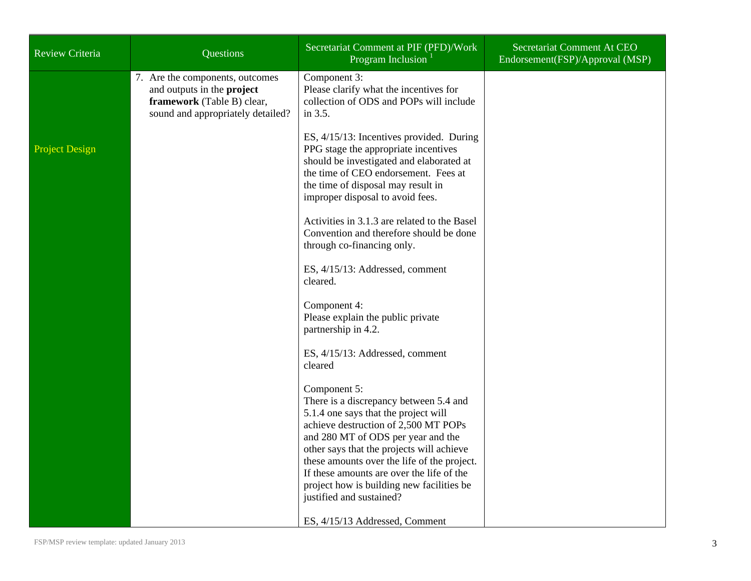| <b>Review Criteria</b> | Questions                                                                                                                        | Secretariat Comment at PIF (PFD)/Work<br>Program Inclusion <sup>1</sup>                                                                                                                                                                                                                                                                                                                        | Secretariat Comment At CEO<br>Endorsement(FSP)/Approval (MSP) |
|------------------------|----------------------------------------------------------------------------------------------------------------------------------|------------------------------------------------------------------------------------------------------------------------------------------------------------------------------------------------------------------------------------------------------------------------------------------------------------------------------------------------------------------------------------------------|---------------------------------------------------------------|
|                        | 7. Are the components, outcomes<br>and outputs in the project<br>framework (Table B) clear,<br>sound and appropriately detailed? | Component 3:<br>Please clarify what the incentives for<br>collection of ODS and POPs will include<br>in 3.5.                                                                                                                                                                                                                                                                                   |                                                               |
| <b>Project Design</b>  |                                                                                                                                  | ES, 4/15/13: Incentives provided. During<br>PPG stage the appropriate incentives<br>should be investigated and elaborated at<br>the time of CEO endorsement. Fees at<br>the time of disposal may result in<br>improper disposal to avoid fees.                                                                                                                                                 |                                                               |
|                        |                                                                                                                                  | Activities in 3.1.3 are related to the Basel<br>Convention and therefore should be done<br>through co-financing only.                                                                                                                                                                                                                                                                          |                                                               |
|                        |                                                                                                                                  | ES, 4/15/13: Addressed, comment<br>cleared.                                                                                                                                                                                                                                                                                                                                                    |                                                               |
|                        |                                                                                                                                  | Component 4:<br>Please explain the public private<br>partnership in 4.2.                                                                                                                                                                                                                                                                                                                       |                                                               |
|                        |                                                                                                                                  | ES, 4/15/13: Addressed, comment<br>cleared                                                                                                                                                                                                                                                                                                                                                     |                                                               |
|                        |                                                                                                                                  | Component 5:<br>There is a discrepancy between 5.4 and<br>5.1.4 one says that the project will<br>achieve destruction of 2,500 MT POPs<br>and 280 MT of ODS per year and the<br>other says that the projects will achieve<br>these amounts over the life of the project.<br>If these amounts are over the life of the<br>project how is building new facilities be<br>justified and sustained? |                                                               |
|                        |                                                                                                                                  | ES, 4/15/13 Addressed, Comment                                                                                                                                                                                                                                                                                                                                                                 |                                                               |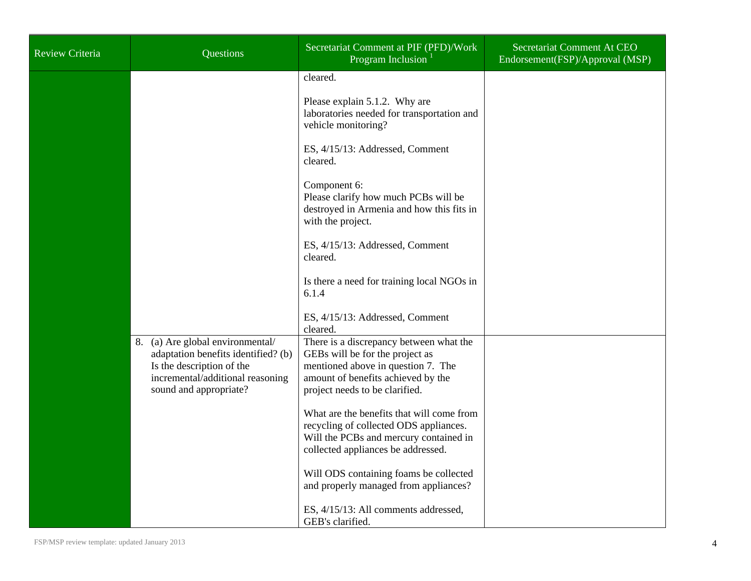| <b>Review Criteria</b> | Questions                                                                                                                                                          | Secretariat Comment at PIF (PFD)/Work<br>Program Inclusion                                                                                                                                                                                                                                                                                                      | Secretariat Comment At CEO<br>Endorsement(FSP)/Approval (MSP) |
|------------------------|--------------------------------------------------------------------------------------------------------------------------------------------------------------------|-----------------------------------------------------------------------------------------------------------------------------------------------------------------------------------------------------------------------------------------------------------------------------------------------------------------------------------------------------------------|---------------------------------------------------------------|
|                        |                                                                                                                                                                    | cleared.<br>Please explain 5.1.2. Why are<br>laboratories needed for transportation and<br>vehicle monitoring?<br>ES, 4/15/13: Addressed, Comment<br>cleared.<br>Component 6:<br>Please clarify how much PCBs will be<br>destroyed in Armenia and how this fits in                                                                                              |                                                               |
|                        |                                                                                                                                                                    | with the project.<br>ES, 4/15/13: Addressed, Comment<br>cleared.<br>Is there a need for training local NGOs in<br>6.1.4<br>ES, 4/15/13: Addressed, Comment<br>cleared.                                                                                                                                                                                          |                                                               |
|                        | 8. (a) Are global environmental/<br>adaptation benefits identified? (b)<br>Is the description of the<br>incremental/additional reasoning<br>sound and appropriate? | There is a discrepancy between what the<br>GEBs will be for the project as<br>mentioned above in question 7. The<br>amount of benefits achieved by the<br>project needs to be clarified.<br>What are the benefits that will come from<br>recycling of collected ODS appliances.<br>Will the PCBs and mercury contained in<br>collected appliances be addressed. |                                                               |
|                        |                                                                                                                                                                    | Will ODS containing foams be collected<br>and properly managed from appliances?<br>ES, 4/15/13: All comments addressed,<br>GEB's clarified.                                                                                                                                                                                                                     |                                                               |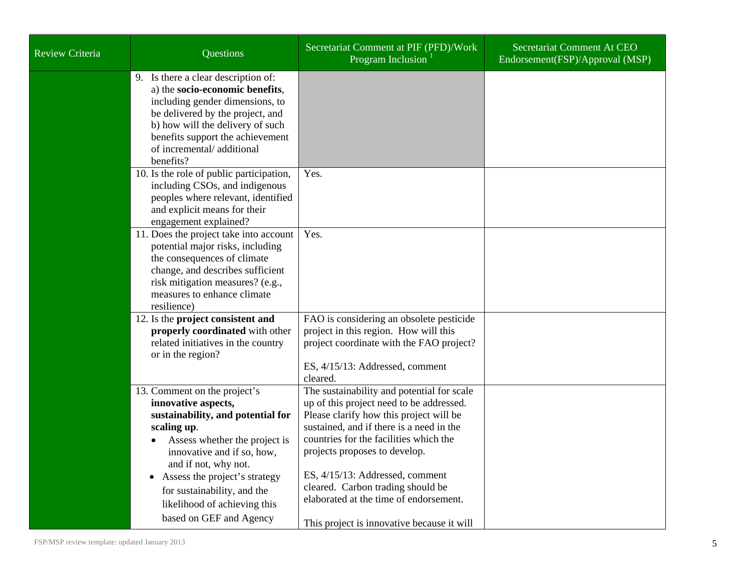| <b>Review Criteria</b> | Questions                                                                                                                                                                                                                                                                                                                 | Secretariat Comment at PIF (PFD)/Work<br>Program Inclusion <sup>1</sup>                                                                                                                                                                                                                                                                                                                                                  | Secretariat Comment At CEO<br>Endorsement(FSP)/Approval (MSP) |
|------------------------|---------------------------------------------------------------------------------------------------------------------------------------------------------------------------------------------------------------------------------------------------------------------------------------------------------------------------|--------------------------------------------------------------------------------------------------------------------------------------------------------------------------------------------------------------------------------------------------------------------------------------------------------------------------------------------------------------------------------------------------------------------------|---------------------------------------------------------------|
|                        | 9. Is there a clear description of:<br>a) the socio-economic benefits,<br>including gender dimensions, to<br>be delivered by the project, and<br>b) how will the delivery of such<br>benefits support the achievement<br>of incremental/additional<br>benefits?                                                           |                                                                                                                                                                                                                                                                                                                                                                                                                          |                                                               |
|                        | 10. Is the role of public participation,<br>including CSOs, and indigenous<br>peoples where relevant, identified<br>and explicit means for their<br>engagement explained?                                                                                                                                                 | Yes.                                                                                                                                                                                                                                                                                                                                                                                                                     |                                                               |
|                        | 11. Does the project take into account<br>potential major risks, including<br>the consequences of climate<br>change, and describes sufficient<br>risk mitigation measures? (e.g.,<br>measures to enhance climate<br>resilience)                                                                                           | Yes.                                                                                                                                                                                                                                                                                                                                                                                                                     |                                                               |
|                        | 12. Is the project consistent and<br>properly coordinated with other<br>related initiatives in the country<br>or in the region?                                                                                                                                                                                           | FAO is considering an obsolete pesticide<br>project in this region. How will this<br>project coordinate with the FAO project?<br>ES, 4/15/13: Addressed, comment<br>cleared.                                                                                                                                                                                                                                             |                                                               |
|                        | 13. Comment on the project's<br>innovative aspects,<br>sustainability, and potential for<br>scaling up.<br>Assess whether the project is<br>innovative and if so, how,<br>and if not, why not.<br>Assess the project's strategy<br>for sustainability, and the<br>likelihood of achieving this<br>based on GEF and Agency | The sustainability and potential for scale<br>up of this project need to be addressed.<br>Please clarify how this project will be<br>sustained, and if there is a need in the<br>countries for the facilities which the<br>projects proposes to develop.<br>ES, 4/15/13: Addressed, comment<br>cleared. Carbon trading should be<br>elaborated at the time of endorsement.<br>This project is innovative because it will |                                                               |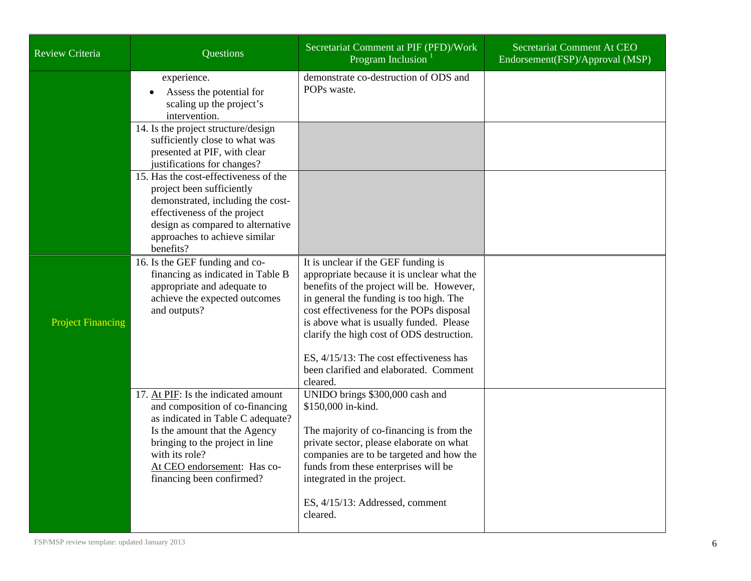| <b>Review Criteria</b>   | <b>Questions</b>                                                                                                                                                                                                                                              | Secretariat Comment at PIF (PFD)/Work<br>Program Inclusion <sup>1</sup>                                                                                                                                                                                                                                                                                                                            | Secretariat Comment At CEO<br>Endorsement(FSP)/Approval (MSP) |
|--------------------------|---------------------------------------------------------------------------------------------------------------------------------------------------------------------------------------------------------------------------------------------------------------|----------------------------------------------------------------------------------------------------------------------------------------------------------------------------------------------------------------------------------------------------------------------------------------------------------------------------------------------------------------------------------------------------|---------------------------------------------------------------|
|                          | experience.<br>Assess the potential for<br>scaling up the project's<br>intervention.                                                                                                                                                                          | demonstrate co-destruction of ODS and<br>POPs waste.                                                                                                                                                                                                                                                                                                                                               |                                                               |
|                          | 14. Is the project structure/design<br>sufficiently close to what was<br>presented at PIF, with clear<br>justifications for changes?                                                                                                                          |                                                                                                                                                                                                                                                                                                                                                                                                    |                                                               |
|                          | 15. Has the cost-effectiveness of the<br>project been sufficiently<br>demonstrated, including the cost-<br>effectiveness of the project<br>design as compared to alternative<br>approaches to achieve similar<br>benefits?                                    |                                                                                                                                                                                                                                                                                                                                                                                                    |                                                               |
| <b>Project Financing</b> | 16. Is the GEF funding and co-<br>financing as indicated in Table B<br>appropriate and adequate to<br>achieve the expected outcomes<br>and outputs?                                                                                                           | It is unclear if the GEF funding is<br>appropriate because it is unclear what the<br>benefits of the project will be. However,<br>in general the funding is too high. The<br>cost effectiveness for the POPs disposal<br>is above what is usually funded. Please<br>clarify the high cost of ODS destruction.<br>ES, 4/15/13: The cost effectiveness has<br>been clarified and elaborated. Comment |                                                               |
|                          | 17. At PIF: Is the indicated amount<br>and composition of co-financing<br>as indicated in Table C adequate?<br>Is the amount that the Agency<br>bringing to the project in line<br>with its role?<br>At CEO endorsement: Has co-<br>financing been confirmed? | cleared.<br>UNIDO brings \$300,000 cash and<br>\$150,000 in-kind.<br>The majority of co-financing is from the<br>private sector, please elaborate on what<br>companies are to be targeted and how the<br>funds from these enterprises will be<br>integrated in the project.<br>ES, 4/15/13: Addressed, comment<br>cleared.                                                                         |                                                               |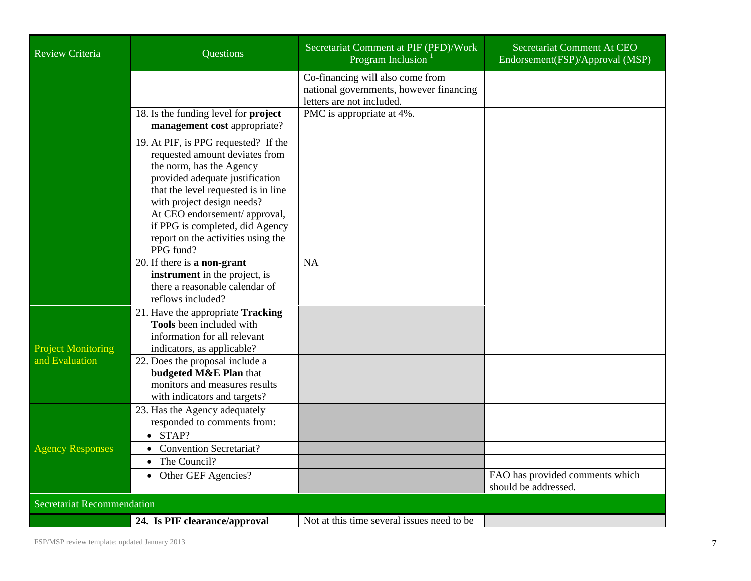| <b>Review Criteria</b>            | Questions                                                                                                                                                                                                                                                                                                            | Secretariat Comment at PIF (PFD)/Work<br>Program Inclusion $1$                                           | Secretariat Comment At CEO<br>Endorsement(FSP)/Approval (MSP) |
|-----------------------------------|----------------------------------------------------------------------------------------------------------------------------------------------------------------------------------------------------------------------------------------------------------------------------------------------------------------------|----------------------------------------------------------------------------------------------------------|---------------------------------------------------------------|
|                                   |                                                                                                                                                                                                                                                                                                                      | Co-financing will also come from<br>national governments, however financing<br>letters are not included. |                                                               |
|                                   | 18. Is the funding level for project<br>management cost appropriate?                                                                                                                                                                                                                                                 | PMC is appropriate at 4%.                                                                                |                                                               |
|                                   | 19. At PIF, is PPG requested? If the<br>requested amount deviates from<br>the norm, has the Agency<br>provided adequate justification<br>that the level requested is in line<br>with project design needs?<br>At CEO endorsement/ approval,<br>if PPG is completed, did Agency<br>report on the activities using the |                                                                                                          |                                                               |
|                                   | PPG fund?<br>20. If there is a non-grant                                                                                                                                                                                                                                                                             | <b>NA</b>                                                                                                |                                                               |
|                                   | instrument in the project, is<br>there a reasonable calendar of<br>reflows included?                                                                                                                                                                                                                                 |                                                                                                          |                                                               |
| <b>Project Monitoring</b>         | 21. Have the appropriate Tracking<br>Tools been included with<br>information for all relevant<br>indicators, as applicable?                                                                                                                                                                                          |                                                                                                          |                                                               |
| and Evaluation                    | 22. Does the proposal include a<br>budgeted M&E Plan that<br>monitors and measures results<br>with indicators and targets?                                                                                                                                                                                           |                                                                                                          |                                                               |
|                                   | 23. Has the Agency adequately<br>responded to comments from:                                                                                                                                                                                                                                                         |                                                                                                          |                                                               |
| <b>Agency Responses</b>           | $\bullet$ STAP?                                                                                                                                                                                                                                                                                                      |                                                                                                          |                                                               |
|                                   | <b>Convention Secretariat?</b><br>$\bullet$<br>The Council?<br>$\bullet$                                                                                                                                                                                                                                             |                                                                                                          |                                                               |
|                                   | • Other GEF Agencies?                                                                                                                                                                                                                                                                                                |                                                                                                          | FAO has provided comments which<br>should be addressed.       |
| <b>Secretariat Recommendation</b> |                                                                                                                                                                                                                                                                                                                      |                                                                                                          |                                                               |
|                                   | 24. Is PIF clearance/approval                                                                                                                                                                                                                                                                                        | Not at this time several issues need to be                                                               |                                                               |